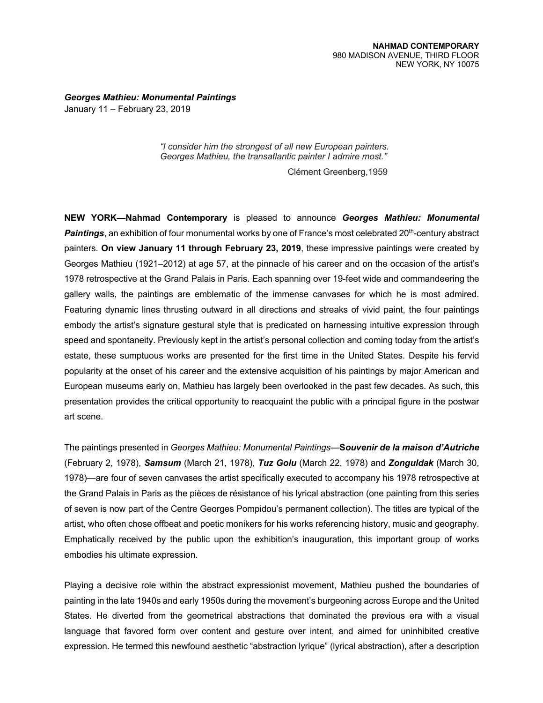*Georges Mathieu: Monumental Paintings*

January 11 – February 23, 2019

*"I consider him the strongest of all new European painters. Georges Mathieu, the transatlantic painter I admire most."*

Clément Greenberg,1959

**NEW YORK—Nahmad Contemporary** is pleased to announce *Georges Mathieu: Monumental*  Paintings, an exhibition of four monumental works by one of France's most celebrated 20<sup>th</sup>-century abstract painters. **On view January 11 through February 23, 2019**, these impressive paintings were created by Georges Mathieu (1921–2012) at age 57, at the pinnacle of his career and on the occasion of the artist's 1978 retrospective at the Grand Palais in Paris. Each spanning over 19-feet wide and commandeering the gallery walls, the paintings are emblematic of the immense canvases for which he is most admired. Featuring dynamic lines thrusting outward in all directions and streaks of vivid paint, the four paintings embody the artist's signature gestural style that is predicated on harnessing intuitive expression through speed and spontaneity. Previously kept in the artist's personal collection and coming today from the artist's estate, these sumptuous works are presented for the first time in the United States. Despite his fervid popularity at the onset of his career and the extensive acquisition of his paintings by major American and European museums early on, Mathieu has largely been overlooked in the past few decades. As such, this presentation provides the critical opportunity to reacquaint the public with a principal figure in the postwar art scene.

The paintings presented in *Georges Mathieu: Monumental Paintings*—**S***ouvenir de la maison d'Autriche*  (February 2, 1978), *Samsum* (March 21, 1978), *Tuz Golu* (March 22, 1978) and *Zonguldak* (March 30, 1978)—are four of seven canvases the artist specifically executed to accompany his 1978 retrospective at the Grand Palais in Paris as the pièces de résistance of his lyrical abstraction (one painting from this series of seven is now part of the Centre Georges Pompidou's permanent collection). The titles are typical of the artist, who often chose offbeat and poetic monikers for his works referencing history, music and geography. Emphatically received by the public upon the exhibition's inauguration, this important group of works embodies his ultimate expression.

Playing a decisive role within the abstract expressionist movement, Mathieu pushed the boundaries of painting in the late 1940s and early 1950s during the movement's burgeoning across Europe and the United States. He diverted from the geometrical abstractions that dominated the previous era with a visual language that favored form over content and gesture over intent, and aimed for uninhibited creative expression. He termed this newfound aesthetic "abstraction lyrique" (lyrical abstraction), after a description